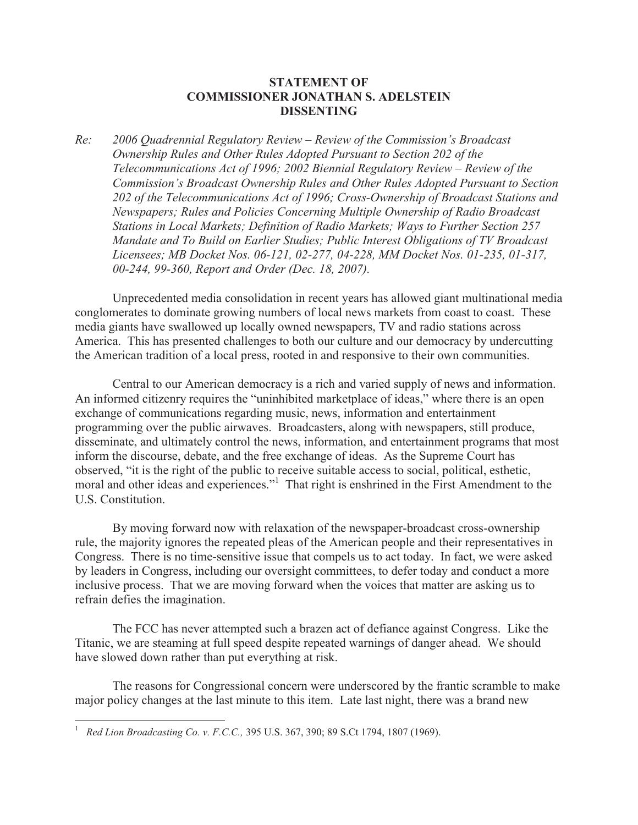## **STATEMENT OF COMMISSIONER JONATHAN S. ADELSTEIN DISSENTING**

*Re: 2006 Quadrennial Regulatory Review – Review of the Commission's Broadcast Ownership Rules and Other Rules Adopted Pursuant to Section 202 of the Telecommunications Act of 1996; 2002 Biennial Regulatory Review – Review of the Commission's Broadcast Ownership Rules and Other Rules Adopted Pursuant to Section 202 of the Telecommunications Act of 1996; Cross-Ownership of Broadcast Stations and Newspapers; Rules and Policies Concerning Multiple Ownership of Radio Broadcast Stations in Local Markets; Definition of Radio Markets; Ways to Further Section 257 Mandate and To Build on Earlier Studies; Public Interest Obligations of TV Broadcast Licensees; MB Docket Nos. 06-121, 02-277, 04-228, MM Docket Nos. 01-235, 01-317, 00-244, 99-360, Report and Order (Dec. 18, 2007).*

Unprecedented media consolidation in recent years has allowed giant multinational media conglomerates to dominate growing numbers of local news markets from coast to coast. These media giants have swallowed up locally owned newspapers, TV and radio stations across America. This has presented challenges to both our culture and our democracy by undercutting the American tradition of a local press, rooted in and responsive to their own communities.

Central to our American democracy is a rich and varied supply of news and information. An informed citizenry requires the "uninhibited marketplace of ideas," where there is an open exchange of communications regarding music, news, information and entertainment programming over the public airwaves. Broadcasters, along with newspapers, still produce, disseminate, and ultimately control the news, information, and entertainment programs that most inform the discourse, debate, and the free exchange of ideas. As the Supreme Court has observed, "it is the right of the public to receive suitable access to social, political, esthetic, moral and other ideas and experiences."<sup>1</sup> That right is enshrined in the First Amendment to the U.S. Constitution.

By moving forward now with relaxation of the newspaper-broadcast cross-ownership rule, the majority ignores the repeated pleas of the American people and their representatives in Congress. There is no time-sensitive issue that compels us to act today. In fact, we were asked by leaders in Congress, including our oversight committees, to defer today and conduct a more inclusive process. That we are moving forward when the voices that matter are asking us to refrain defies the imagination.

The FCC has never attempted such a brazen act of defiance against Congress. Like the Titanic, we are steaming at full speed despite repeated warnings of danger ahead. We should have slowed down rather than put everything at risk.

The reasons for Congressional concern were underscored by the frantic scramble to make major policy changes at the last minute to this item. Late last night, there was a brand new

<sup>1</sup> *Red Lion Broadcasting Co. v. F.C.C.,* 395 U.S. 367, 390; 89 S.Ct 1794, 1807 (1969).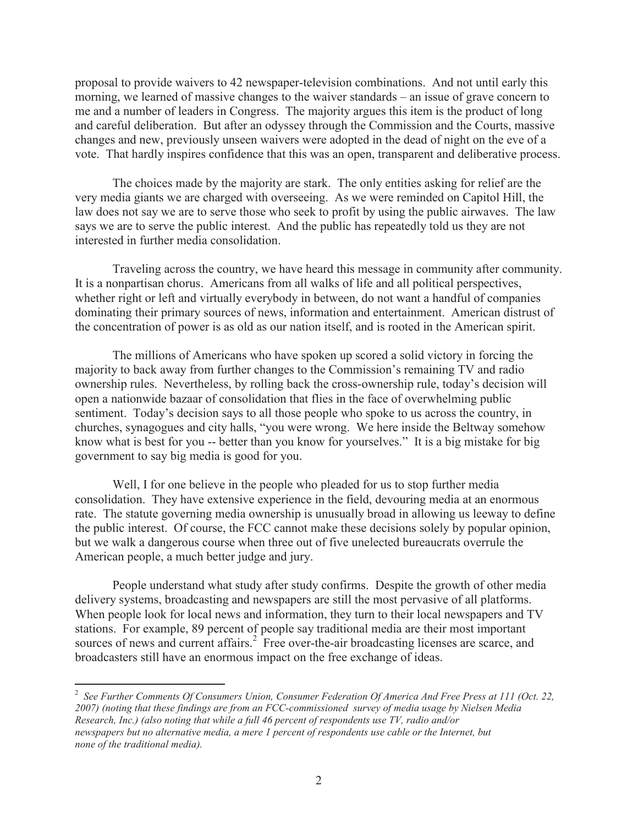proposal to provide waivers to 42 newspaper-television combinations. And not until early this morning, we learned of massive changes to the waiver standards – an issue of grave concern to me and a number of leaders in Congress. The majority argues this item is the product of long and careful deliberation. But after an odyssey through the Commission and the Courts, massive changes and new, previously unseen waivers were adopted in the dead of night on the eve of a vote. That hardly inspires confidence that this was an open, transparent and deliberative process.

The choices made by the majority are stark. The only entities asking for relief are the very media giants we are charged with overseeing. As we were reminded on Capitol Hill, the law does not say we are to serve those who seek to profit by using the public airwaves. The law says we are to serve the public interest. And the public has repeatedly told us they are not interested in further media consolidation.

Traveling across the country, we have heard this message in community after community. It is a nonpartisan chorus. Americans from all walks of life and all political perspectives, whether right or left and virtually everybody in between, do not want a handful of companies dominating their primary sources of news, information and entertainment. American distrust of the concentration of power is as old as our nation itself, and is rooted in the American spirit.

The millions of Americans who have spoken up scored a solid victory in forcing the majority to back away from further changes to the Commission's remaining TV and radio ownership rules. Nevertheless, by rolling back the cross-ownership rule, today's decision will open a nationwide bazaar of consolidation that flies in the face of overwhelming public sentiment. Today's decision says to all those people who spoke to us across the country, in churches, synagogues and city halls, "you were wrong. We here inside the Beltway somehow know what is best for you -- better than you know for yourselves." It is a big mistake for big government to say big media is good for you.

Well, I for one believe in the people who pleaded for us to stop further media consolidation. They have extensive experience in the field, devouring media at an enormous rate. The statute governing media ownership is unusually broad in allowing us leeway to define the public interest. Of course, the FCC cannot make these decisions solely by popular opinion, but we walk a dangerous course when three out of five unelected bureaucrats overrule the American people, a much better judge and jury.

People understand what study after study confirms. Despite the growth of other media delivery systems, broadcasting and newspapers are still the most pervasive of all platforms. When people look for local news and information, they turn to their local newspapers and TV stations. For example, 89 percent of people say traditional media are their most important sources of news and current affairs.<sup>2</sup> Free over-the-air broadcasting licenses are scarce, and broadcasters still have an enormous impact on the free exchange of ideas.

<sup>2</sup> *See Further Comments Of Consumers Union, Consumer Federation Of America And Free Press at 111 (Oct. 22, 2007) (noting that these findings are from an FCC-commissioned survey of media usage by Nielsen Media Research, Inc.) (also noting that while a full 46 percent of respondents use TV, radio and/or newspapers but no alternative media, a mere 1 percent of respondents use cable or the Internet, but none of the traditional media).*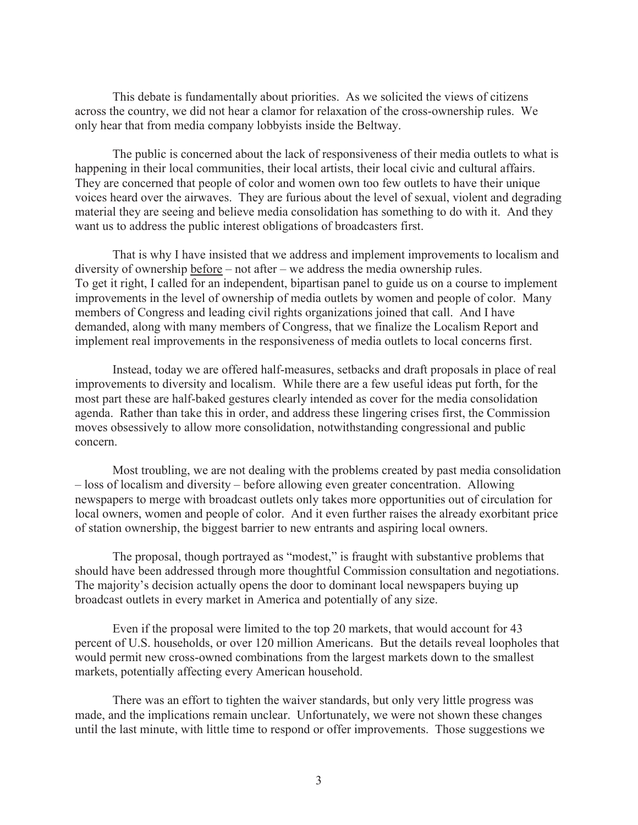This debate is fundamentally about priorities. As we solicited the views of citizens across the country, we did not hear a clamor for relaxation of the cross-ownership rules. We only hear that from media company lobbyists inside the Beltway.

The public is concerned about the lack of responsiveness of their media outlets to what is happening in their local communities, their local artists, their local civic and cultural affairs. They are concerned that people of color and women own too few outlets to have their unique voices heard over the airwaves. They are furious about the level of sexual, violent and degrading material they are seeing and believe media consolidation has something to do with it. And they want us to address the public interest obligations of broadcasters first.

That is why I have insisted that we address and implement improvements to localism and diversity of ownership before – not after – we address the media ownership rules. To get it right, I called for an independent, bipartisan panel to guide us on a course to implement improvements in the level of ownership of media outlets by women and people of color. Many members of Congress and leading civil rights organizations joined that call. And I have demanded, along with many members of Congress, that we finalize the Localism Report and implement real improvements in the responsiveness of media outlets to local concerns first.

Instead, today we are offered half-measures, setbacks and draft proposals in place of real improvements to diversity and localism. While there are a few useful ideas put forth, for the most part these are half-baked gestures clearly intended as cover for the media consolidation agenda. Rather than take this in order, and address these lingering crises first, the Commission moves obsessively to allow more consolidation, notwithstanding congressional and public concern.

Most troubling, we are not dealing with the problems created by past media consolidation – loss of localism and diversity – before allowing even greater concentration. Allowing newspapers to merge with broadcast outlets only takes more opportunities out of circulation for local owners, women and people of color. And it even further raises the already exorbitant price of station ownership, the biggest barrier to new entrants and aspiring local owners.

The proposal, though portrayed as "modest," is fraught with substantive problems that should have been addressed through more thoughtful Commission consultation and negotiations. The majority's decision actually opens the door to dominant local newspapers buying up broadcast outlets in every market in America and potentially of any size.

Even if the proposal were limited to the top 20 markets, that would account for 43 percent of U.S. households, or over 120 million Americans. But the details reveal loopholes that would permit new cross-owned combinations from the largest markets down to the smallest markets, potentially affecting every American household.

There was an effort to tighten the waiver standards, but only very little progress was made, and the implications remain unclear. Unfortunately, we were not shown these changes until the last minute, with little time to respond or offer improvements. Those suggestions we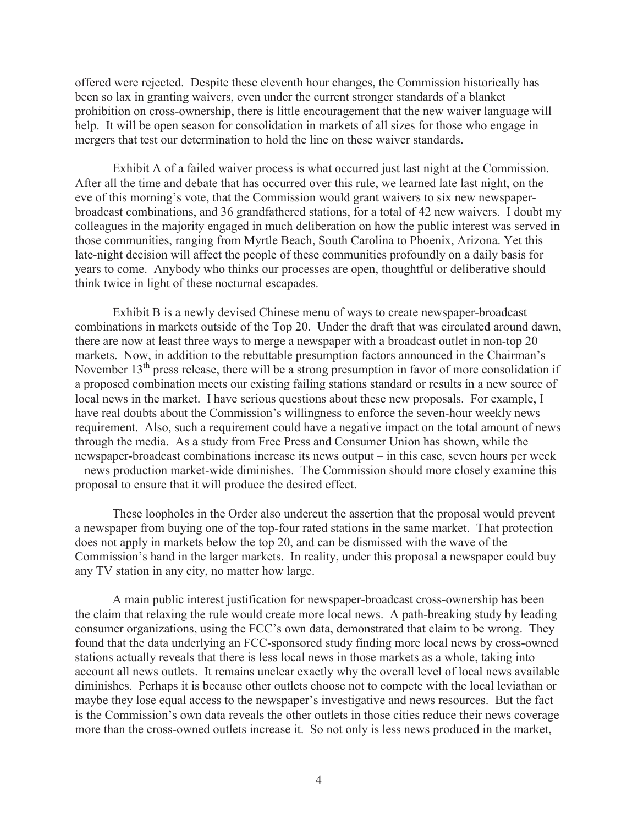offered were rejected. Despite these eleventh hour changes, the Commission historically has been so lax in granting waivers, even under the current stronger standards of a blanket prohibition on cross-ownership, there is little encouragement that the new waiver language will help. It will be open season for consolidation in markets of all sizes for those who engage in mergers that test our determination to hold the line on these waiver standards.

Exhibit A of a failed waiver process is what occurred just last night at the Commission. After all the time and debate that has occurred over this rule, we learned late last night, on the eve of this morning's vote, that the Commission would grant waivers to six new newspaperbroadcast combinations, and 36 grandfathered stations, for a total of 42 new waivers. I doubt my colleagues in the majority engaged in much deliberation on how the public interest was served in those communities, ranging from Myrtle Beach, South Carolina to Phoenix, Arizona. Yet this late-night decision will affect the people of these communities profoundly on a daily basis for years to come. Anybody who thinks our processes are open, thoughtful or deliberative should think twice in light of these nocturnal escapades.

Exhibit B is a newly devised Chinese menu of ways to create newspaper-broadcast combinations in markets outside of the Top 20. Under the draft that was circulated around dawn, there are now at least three ways to merge a newspaper with a broadcast outlet in non-top 20 markets. Now, in addition to the rebuttable presumption factors announced in the Chairman's November 13<sup>th</sup> press release, there will be a strong presumption in favor of more consolidation if a proposed combination meets our existing failing stations standard or results in a new source of local news in the market. I have serious questions about these new proposals. For example, I have real doubts about the Commission's willingness to enforce the seven-hour weekly news requirement. Also, such a requirement could have a negative impact on the total amount of news through the media. As a study from Free Press and Consumer Union has shown, while the newspaper-broadcast combinations increase its news output – in this case, seven hours per week – news production market-wide diminishes. The Commission should more closely examine this proposal to ensure that it will produce the desired effect.

These loopholes in the Order also undercut the assertion that the proposal would prevent a newspaper from buying one of the top-four rated stations in the same market. That protection does not apply in markets below the top 20, and can be dismissed with the wave of the Commission's hand in the larger markets. In reality, under this proposal a newspaper could buy any TV station in any city, no matter how large.

A main public interest justification for newspaper-broadcast cross-ownership has been the claim that relaxing the rule would create more local news. A path-breaking study by leading consumer organizations, using the FCC's own data, demonstrated that claim to be wrong. They found that the data underlying an FCC-sponsored study finding more local news by cross-owned stations actually reveals that there is less local news in those markets as a whole, taking into account all news outlets. It remains unclear exactly why the overall level of local news available diminishes. Perhaps it is because other outlets choose not to compete with the local leviathan or maybe they lose equal access to the newspaper's investigative and news resources. But the fact is the Commission's own data reveals the other outlets in those cities reduce their news coverage more than the cross-owned outlets increase it. So not only is less news produced in the market,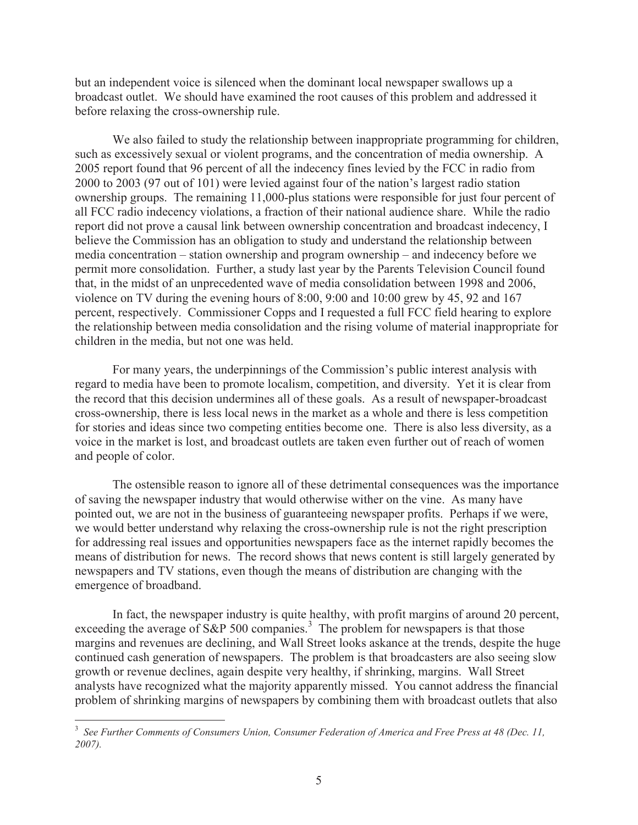but an independent voice is silenced when the dominant local newspaper swallows up a broadcast outlet. We should have examined the root causes of this problem and addressed it before relaxing the cross-ownership rule.

We also failed to study the relationship between inappropriate programming for children, such as excessively sexual or violent programs, and the concentration of media ownership. A 2005 report found that 96 percent of all the indecency fines levied by the FCC in radio from 2000 to 2003 (97 out of 101) were levied against four of the nation's largest radio station ownership groups. The remaining 11,000-plus stations were responsible for just four percent of all FCC radio indecency violations, a fraction of their national audience share. While the radio report did not prove a causal link between ownership concentration and broadcast indecency, I believe the Commission has an obligation to study and understand the relationship between media concentration – station ownership and program ownership – and indecency before we permit more consolidation. Further, a study last year by the Parents Television Council found that, in the midst of an unprecedented wave of media consolidation between 1998 and 2006, violence on TV during the evening hours of 8:00, 9:00 and 10:00 grew by 45, 92 and 167 percent, respectively. Commissioner Copps and I requested a full FCC field hearing to explore the relationship between media consolidation and the rising volume of material inappropriate for children in the media, but not one was held.

For many years, the underpinnings of the Commission's public interest analysis with regard to media have been to promote localism, competition, and diversity. Yet it is clear from the record that this decision undermines all of these goals. As a result of newspaper-broadcast cross-ownership, there is less local news in the market as a whole and there is less competition for stories and ideas since two competing entities become one. There is also less diversity, as a voice in the market is lost, and broadcast outlets are taken even further out of reach of women and people of color.

The ostensible reason to ignore all of these detrimental consequences was the importance of saving the newspaper industry that would otherwise wither on the vine. As many have pointed out, we are not in the business of guaranteeing newspaper profits. Perhaps if we were, we would better understand why relaxing the cross-ownership rule is not the right prescription for addressing real issues and opportunities newspapers face as the internet rapidly becomes the means of distribution for news. The record shows that news content is still largely generated by newspapers and TV stations, even though the means of distribution are changing with the emergence of broadband.

In fact, the newspaper industry is quite healthy, with profit margins of around 20 percent, exceeding the average of  $S\&P 500$  companies.<sup>3</sup> The problem for newspapers is that those margins and revenues are declining, and Wall Street looks askance at the trends, despite the huge continued cash generation of newspapers. The problem is that broadcasters are also seeing slow growth or revenue declines, again despite very healthy, if shrinking, margins. Wall Street analysts have recognized what the majority apparently missed. You cannot address the financial problem of shrinking margins of newspapers by combining them with broadcast outlets that also

<sup>&</sup>lt;sup>3</sup> See Further Comments of Consumers Union, Consumer Federation of America and Free Press at 48 (Dec. 11, *2007).*